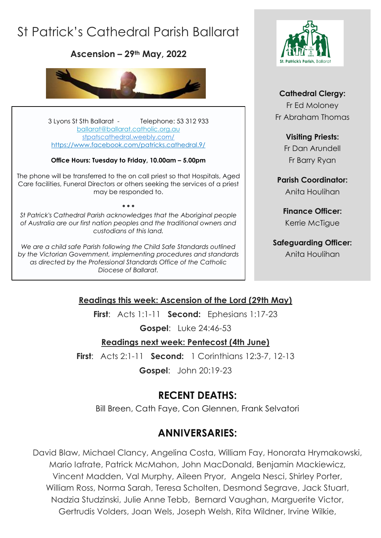# St Patrick's Cathedral Parish Ballarat

**Ascension – 29th May, 2022**



3 Lyons St Sth Ballarat - Telephone: 53 312 933 [ballarat@ballarat.catholic.org.au](mailto:ballarat@ballarat.catholic.org.au)  [stpatscathedral.weebly.com/](https://stpatscathedral.weebly.com/) <https://www.facebook.com/patricks.cathedral.9/>

#### **Office Hours: Tuesday to Friday, 10.00am – 5.00pm**

The phone will be transferred to the on call priest so that Hospitals, Aged Care facilities, Funeral Directors or others seeking the services of a priest may be responded to.

*St Patrick's Cathedral Parish acknowledges that the Aboriginal people of Australia are our first nation peoples and the traditional owners and custodians of this land.*

**\* \* \***

*We are a child safe Parish following the Child Safe Standards outlined by the Victorian Government, implementing procedures and standards as directed by the Professional Standards Office of the Catholic Diocese of Ballarat.*



#### **Cathedral Clergy:**

Fr Ed Moloney Fr Abraham Thomas

#### **Visiting Priests:**

Fr Dan Arundell Fr Barry Ryan

**Parish Coordinator:** Anita Houlihan

**Finance Officer:** Kerrie McTigue

## **Safeguarding Officer:**

Anita Houlihan

### **Readings this week: Ascension of the Lord (29th May)**

**First**: Acts 1:1-11 **Second:** Ephesians 1:17-23

**Gospel**: Luke 24:46-53

#### **Readings next week: Pentecost (4th June)**

**First**: Acts 2:1-11 **Second:** 1 Corinthians 12:3-7, 12-13

**Gospel**: John 20:19-23

# **RECENT DEATHS:**

Bill Breen, Cath Faye, Con Glennen, Frank Selvatori

# **ANNIVERSARIES:**

David Blaw, Michael Clancy, Angelina Costa, William Fay, Honorata Hrymakowski, Mario Iafrate, Patrick McMahon, John MacDonald, Benjamin Mackiewicz, Vincent Madden, Val Murphy, Aileen Pryor, Angela Nesci, Shirley Porter, William Ross, Norma Sarah, Teresa Scholten, Desmond Segrave, Jack Stuart, Nadzia Studzinski, Julie Anne Tebb, Bernard Vaughan, Marguerite Victor, Gertrudis Volders, Joan Wels, Joseph Welsh, Rita Wildner, Irvine Wilkie,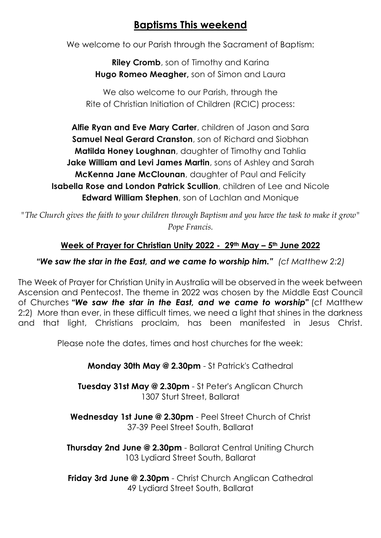# **Baptisms This weekend**

We welcome to our Parish through the Sacrament of Baptism:

**Riley Cromb**, son of Timothy and Karina **Hugo Romeo Meagher,** son of Simon and Laura

We also welcome to our Parish, through the Rite of Christian Initiation of Children (RCIC) process:

**Alfie Ryan and Eve Mary Carter**, children of Jason and Sara **Samuel Neal Gerard Cranston**, son of Richard and Siobhan **Matilda Honey Loughnan**, daughter of Timothy and Tahlia **Jake William and Levi James Martin**, sons of Ashley and Sarah **McKenna Jane McClounan**, daughter of Paul and Felicity **Isabella Rose and London Patrick Scullion**, children of Lee and Nicole **Edward William Stephen**, son of Lachlan and Monique

*"The Church gives the faith to your children through Baptism and you have the task to make it grow" Pope Francis.*

### **Week of Prayer for Christian Unity 2022 - 29th May – 5th June 2022**

#### *"We saw the star in the East, and we came to worship him." (cf Matthew 2:2)*

The Week of Prayer for Christian Unity in Australia will be observed in the week between Ascension and Pentecost. The theme in 2022 was chosen by the Middle East Council of Churches *"We saw the star in the East, and we came to worship"* (cf Matthew 2:2) More than ever, in these difficult times, we need a light that shines in the darkness and that light, Christians proclaim, has been manifested in Jesus Christ.

Please note the dates, times and host churches for the week:

**Monday 30th May @ 2.30pm** - St Patrick's Cathedral

**Tuesday 31st May @ 2.30pm** - St Peter's Anglican Church 1307 Sturt Street, Ballarat

**Wednesday 1st June @ 2.30pm** - Peel Street Church of Christ 37-39 Peel Street South, Ballarat

**Thursday 2nd June @ 2.30pm** - Ballarat Central Uniting Church 103 Lydiard Street South, Ballarat

**Friday 3rd June @ 2.30pm** - Christ Church Anglican Cathedral 49 Lydiard Street South, Ballarat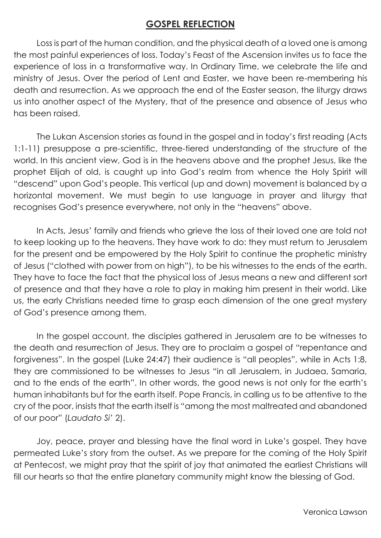### **GOSPEL REFLECTION**

Loss is part of the human condition, and the physical death of a loved one is among the most painful experiences of loss. Today's Feast of the Ascension invites us to face the experience of loss in a transformative way. In Ordinary Time, we celebrate the life and ministry of Jesus. Over the period of Lent and Easter, we have been re-membering his death and resurrection. As we approach the end of the Easter season, the liturgy draws us into another aspect of the Mystery, that of the presence and absence of Jesus who has been raised.

The Lukan Ascension stories as found in the gospel and in today's first reading (Acts 1:1-11) presuppose a pre-scientific, three-tiered understanding of the structure of the world. In this ancient view, God is in the heavens above and the prophet Jesus, like the prophet Elijah of old, is caught up into God's realm from whence the Holy Spirit will "descend" upon God's people. This vertical (up and down) movement is balanced by a horizontal movement. We must begin to use language in prayer and liturgy that recognises God's presence everywhere, not only in the "heavens" above.

In Acts, Jesus' family and friends who grieve the loss of their loved one are told not to keep looking up to the heavens. They have work to do: they must return to Jerusalem for the present and be empowered by the Holy Spirit to continue the prophetic ministry of Jesus ("clothed with power from on high"), to be his witnesses to the ends of the earth. They have to face the fact that the physical loss of Jesus means a new and different sort of presence and that they have a role to play in making him present in their world. Like us, the early Christians needed time to grasp each dimension of the one great mystery of God's presence among them.

In the gospel account, the disciples gathered in Jerusalem are to be witnesses to the death and resurrection of Jesus. They are to proclaim a gospel of "repentance and forgiveness". In the gospel (Luke 24:47) their audience is "all peoples", while in Acts 1:8, they are commissioned to be witnesses to Jesus "in all Jerusalem, in Judaea, Samaria, and to the ends of the earth". In other words, the good news is not only for the earth's human inhabitants but for the earth itself. Pope Francis, in calling us to be attentive to the cry of the poor, insists that the earth itself is "among the most maltreated and abandoned of our poor" (*Laudato Si'* 2).

Joy, peace, prayer and blessing have the final word in Luke's gospel. They have permeated Luke's story from the outset. As we prepare for the coming of the Holy Spirit at Pentecost, we might pray that the spirit of joy that animated the earliest Christians will fill our hearts so that the entire planetary community might know the blessing of God.